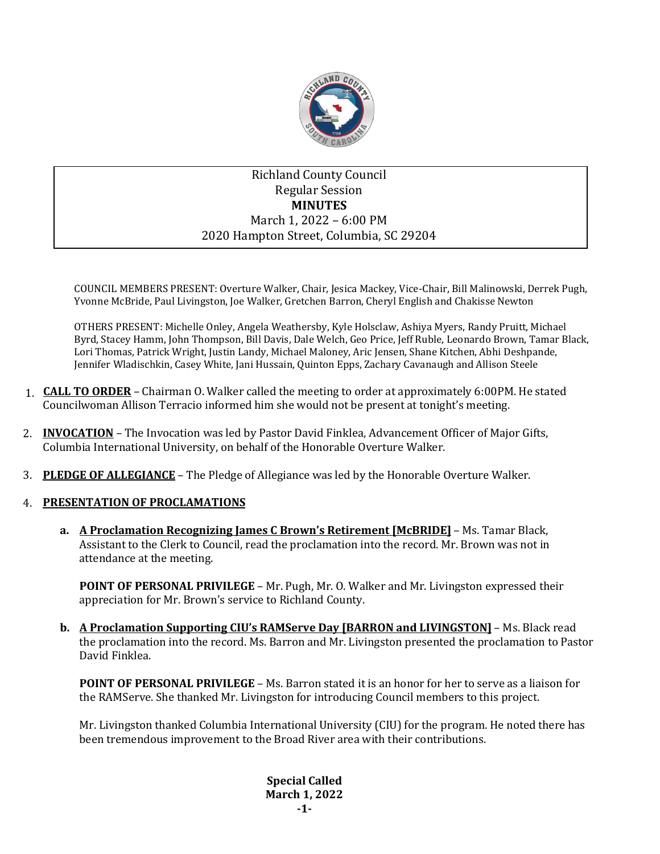

# Richland County Council Regular Session **MINUTES** March 1, 2022 – 6:00 PM 2020 Hampton Street, Columbia, SC 29204

COUNCIL MEMBERS PRESENT: Overture Walker, Chair, Jesica Mackey, Vice-Chair, Bill Malinowski, Derrek Pugh, Yvonne McBride, Paul Livingston, Joe Walker, Gretchen Barron, Cheryl English and Chakisse Newton

OTHERS PRESENT: Michelle Onley, Angela Weathersby, Kyle Holsclaw, Ashiya Myers, Randy Pruitt, Michael Byrd, Stacey Hamm, John Thompson, Bill Davis, Dale Welch, Geo Price, Jeff Ruble, Leonardo Brown, Tamar Black, Lori Thomas, Patrick Wright, Justin Landy, Michael Maloney, Aric Jensen, Shane Kitchen, Abhi Deshpande, Jennifer Wladischkin, Casey White, Jani Hussain, Quinton Epps, Zachary Cavanaugh and Allison Steele

- 1. **CALL TO ORDER** Chairman O. Walker called the meeting to order at approximately 6:00PM. He stated Councilwoman Allison Terracio informed him she would not be present at tonight's meeting.
- 2. **INVOCATION** The Invocation was led by Pastor David Finklea, Advancement Officer of Major Gifts, Columbia International University, on behalf of the Honorable Overture Walker.
- 3. **PLEDGE OF ALLEGIANCE** The Pledge of Allegiance was led by the Honorable Overture Walker.

# 4. **PRESENTATION OF PROCLAMATIONS**

**a. A Proclamation Recognizing James C Brown's Retirement [McBRIDE]** – Ms. Tamar Black, Assistant to the Clerk to Council, read the proclamation into the record. Mr. Brown was not in attendance at the meeting.

**POINT OF PERSONAL PRIVILEGE** – Mr. Pugh, Mr. O. Walker and Mr. Livingston expressed their appreciation for Mr. Brown's service to Richland County.

**b. A Proclamation Supporting CIU's RAMServe Day [BARRON and LIVINGSTON]** – Ms. Black read the proclamation into the record. Ms. Barron and Mr. Livingston presented the proclamation to Pastor David Finklea.

**POINT OF PERSONAL PRIVILEGE** – Ms. Barron stated it is an honor for her to serve as a liaison for the RAMServe. She thanked Mr. Livingston for introducing Council members to this project.

Mr. Livingston thanked Columbia International University (CIU) for the program. He noted there has been tremendous improvement to the Broad River area with their contributions.

> **Special Called March 1, 2022 -1-**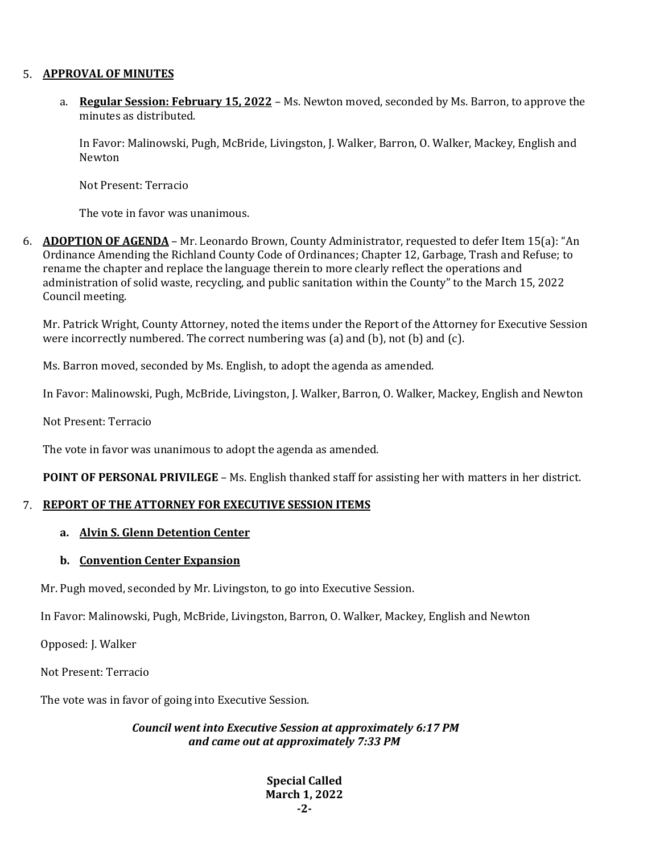### 5. **APPROVAL OF MINUTES**

a. **Regular Session: February 15, 2022** – Ms. Newton moved, seconded by Ms. Barron, to approve the minutes as distributed.

In Favor: Malinowski, Pugh, McBride, Livingston, J. Walker, Barron, O. Walker, Mackey, English and Newton

Not Present: Terracio

The vote in favor was unanimous.

6. **ADOPTION OF AGENDA** – Mr. Leonardo Brown, County Administrator, requested to defer Item 15(a): "An Ordinance Amending the Richland County Code of Ordinances; Chapter 12, Garbage, Trash and Refuse; to rename the chapter and replace the language therein to more clearly reflect the operations and administration of solid waste, recycling, and public sanitation within the County" to the March 15, 2022 Council meeting.

Mr. Patrick Wright, County Attorney, noted the items under the Report of the Attorney for Executive Session were incorrectly numbered. The correct numbering was (a) and (b), not (b) and (c).

Ms. Barron moved, seconded by Ms. English, to adopt the agenda as amended.

In Favor: Malinowski, Pugh, McBride, Livingston, J. Walker, Barron, O. Walker, Mackey, English and Newton

Not Present: Terracio

The vote in favor was unanimous to adopt the agenda as amended.

**POINT OF PERSONAL PRIVILEGE** – Ms. English thanked staff for assisting her with matters in her district.

#### 7. **REPORT OF THE ATTORNEY FOR EXECUTIVE SESSION ITEMS**

## **a. Alvin S. Glenn Detention Center**

#### **b. Convention Center Expansion**

Mr. Pugh moved, seconded by Mr. Livingston, to go into Executive Session.

In Favor: Malinowski, Pugh, McBride, Livingston, Barron, O. Walker, Mackey, English and Newton

Opposed: J. Walker

Not Present: Terracio

The vote was in favor of going into Executive Session.

*Council went into Executive Session at approximately 6:17 PM and came out at approximately 7:33 PM*

> **Special Called March 1, 2022 -2-**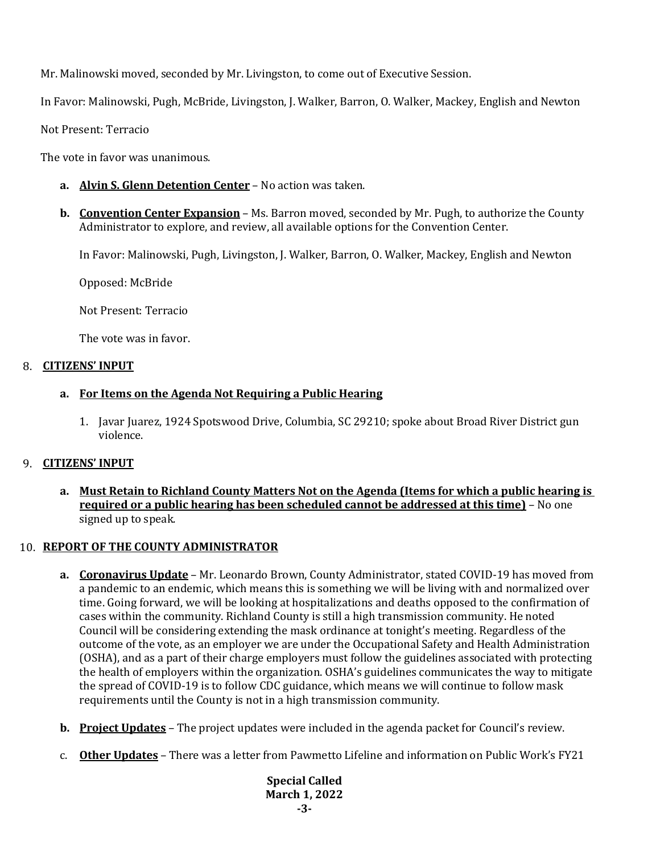Mr. Malinowski moved, seconded by Mr. Livingston, to come out of Executive Session.

In Favor: Malinowski, Pugh, McBride, Livingston, J. Walker, Barron, O. Walker, Mackey, English and Newton

Not Present: Terracio

The vote in favor was unanimous.

- **a. Alvin S. Glenn Detention Center** No action was taken.
- **b. Convention Center Expansion** Ms. Barron moved, seconded by Mr. Pugh, to authorize the County Administrator to explore, and review, all available options for the Convention Center.

In Favor: Malinowski, Pugh, Livingston, J. Walker, Barron, O. Walker, Mackey, English and Newton

Opposed: McBride

Not Present: Terracio

The vote was in favor.

### 8. **CITIZENS' INPUT**

# **a. For Items on the Agenda Not Requiring a Public Hearing**

1. Javar Juarez, 1924 Spotswood Drive, Columbia, SC 29210; spoke about Broad River District gun violence.

# 9. **CITIZENS' INPUT**

**a. Must Retain to Richland County Matters Not on the Agenda (Items for which a public hearing is required or a public hearing has been scheduled cannot be addressed at this time)** – No one signed up to speak.

# 10. **REPORT OF THE COUNTY ADMINISTRATOR**

- **a. Coronavirus Update** Mr. Leonardo Brown, County Administrator, stated COVID-19 has moved from a pandemic to an endemic, which means this is something we will be living with and normalized over time. Going forward, we will be looking at hospitalizations and deaths opposed to the confirmation of cases within the community. Richland County is still a high transmission community. He noted Council will be considering extending the mask ordinance at tonight's meeting. Regardless of the outcome of the vote, as an employer we are under the Occupational Safety and Health Administration (OSHA), and as a part of their charge employers must follow the guidelines associated with protecting the health of employers within the organization. OSHA's guidelines communicates the way to mitigate the spread of COVID-19 is to follow CDC guidance, which means we will continue to follow mask requirements until the County is not in a high transmission community.
- **b. Project Updates** The project updates were included in the agenda packet for Council's review.
- c. **Other Updates** There was a letter from Pawmetto Lifeline and information on Public Work's FY21

**Special Called March 1, 2022 -3-**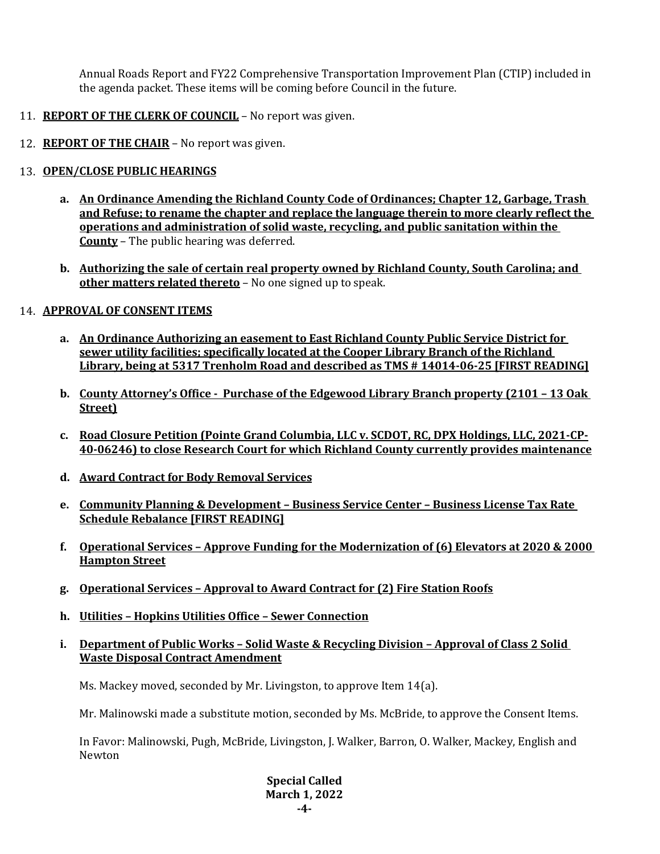Annual Roads Report and FY22 Comprehensive Transportation Improvement Plan (CTIP) included in the agenda packet. These items will be coming before Council in the future.

- 11. **REPORT OF THE CLERK OF COUNCIL** No report was given.
- 12. **REPORT OF THE CHAIR** No report was given.

# 13. **OPEN/CLOSE PUBLIC HEARINGS**

- **a. An Ordinance Amending the Richland County Code of Ordinances; Chapter 12, Garbage, Trash and Refuse; to rename the chapter and replace the language therein to more clearly reflect the operations and administration of solid waste, recycling, and public sanitation within the County** – The public hearing was deferred.
- **b. Authorizing the sale of certain real property owned by Richland County, South Carolina; and other matters related thereto** – No one signed up to speak.

# 14. **APPROVAL OF CONSENT ITEMS**

- **a. An Ordinance Authorizing an easement to East Richland County Public Service District for sewer utility facilities; specifically located at the Cooper Library Branch of the Richland Library, being at 5317 Trenholm Road and described as TMS # 14014-06-25 [FIRST READING]**
- **b. County Attorney's Office Purchase of the Edgewood Library Branch property (2101 – 13 Oak Street)**
- **c. Road Closure Petition (Pointe Grand Columbia, LLC v. SCDOT, RC, DPX Holdings, LLC, 2021-CP-40-06246) to close Research Court for which Richland County currently provides maintenance**
- **d. Award Contract for Body Removal Services**
- **e. Community Planning & Development – Business Service Center – Business License Tax Rate Schedule Rebalance [FIRST READING]**
- **f. Operational Services – Approve Funding for the Modernization of (6) Elevators at 2020 & 2000 Hampton Street**
- **g. Operational Services – Approval to Award Contract for (2) Fire Station Roofs**
- **h. Utilities – Hopkins Utilities Office – Sewer Connection**
- **i. Department of Public Works – Solid Waste & Recycling Division – Approval of Class 2 Solid Waste Disposal Contract Amendment**

Ms. Mackey moved, seconded by Mr. Livingston, to approve Item 14(a).

Mr. Malinowski made a substitute motion, seconded by Ms. McBride, to approve the Consent Items.

In Favor: Malinowski, Pugh, McBride, Livingston, J. Walker, Barron, O. Walker, Mackey, English and Newton

> **Special Called March 1, 2022 -4-**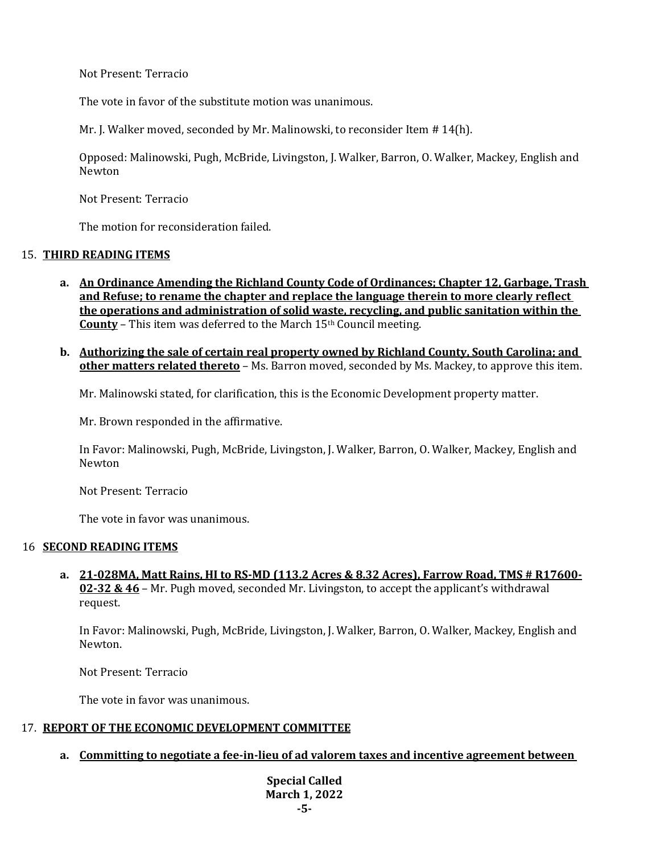Not Present: Terracio

The vote in favor of the substitute motion was unanimous.

Mr. J. Walker moved, seconded by Mr. Malinowski, to reconsider Item # 14(h).

Opposed: Malinowski, Pugh, McBride, Livingston, J. Walker, Barron, O. Walker, Mackey, English and Newton

Not Present: Terracio

The motion for reconsideration failed.

# 15. **THIRD READING ITEMS**

- **a. An Ordinance Amending the Richland County Code of Ordinances; Chapter 12, Garbage, Trash and Refuse; to rename the chapter and replace the language therein to more clearly reflect the operations and administration of solid waste, recycling, and public sanitation within the County** – This item was deferred to the March 15<sup>th</sup> Council meeting.
- **b. Authorizing the sale of certain real property owned by Richland County, South Carolina; and other matters related thereto** – Ms. Barron moved, seconded by Ms. Mackey, to approve this item.

Mr. Malinowski stated, for clarification, this is the Economic Development property matter.

Mr. Brown responded in the affirmative.

In Favor: Malinowski, Pugh, McBride, Livingston, J. Walker, Barron, O. Walker, Mackey, English and Newton

Not Present: Terracio

The vote in favor was unanimous.

#### 16 **SECOND READING ITEMS**

**a. 21-028MA, Matt Rains, HI to RS-MD (113.2 Acres & 8.32 Acres), Farrow Road, TMS # R17600- 02-32 & 46** – Mr. Pugh moved, seconded Mr. Livingston, to accept the applicant's withdrawal request.

In Favor: Malinowski, Pugh, McBride, Livingston, J. Walker, Barron, O. Walker, Mackey, English and Newton.

Not Present: Terracio

The vote in favor was unanimous.

#### 17. **REPORT OF THE ECONOMIC DEVELOPMENT COMMITTEE**

**a. Committing to negotiate a fee-in-lieu of ad valorem taxes and incentive agreement between** 

**Special Called March 1, 2022 -5-**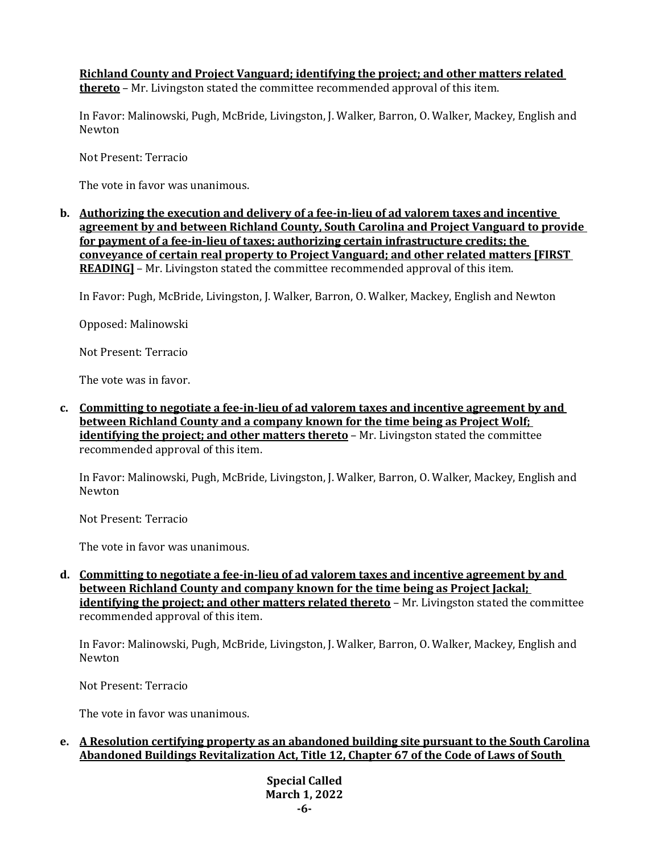**Richland County and Project Vanguard; identifying the project; and other matters related thereto** – Mr. Livingston stated the committee recommended approval of this item.

In Favor: Malinowski, Pugh, McBride, Livingston, J. Walker, Barron, O. Walker, Mackey, English and Newton

Not Present: Terracio

The vote in favor was unanimous.

**b. Authorizing the execution and delivery of a fee-in-lieu of ad valorem taxes and incentive agreement by and between Richland County, South Carolina and Project Vanguard to provide for payment of a fee-in-lieu of taxes; authorizing certain infrastructure credits; the conveyance of certain real property to Project Vanguard; and other related matters [FIRST READING]** – Mr. Livingston stated the committee recommended approval of this item.

In Favor: Pugh, McBride, Livingston, J. Walker, Barron, O. Walker, Mackey, English and Newton

Opposed: Malinowski

Not Present: Terracio

The vote was in favor.

**c. Committing to negotiate a fee-in-lieu of ad valorem taxes and incentive agreement by and between Richland County and a company known for the time being as Project Wolf; identifying the project; and other matters thereto** – Mr. Livingston stated the committee recommended approval of this item.

In Favor: Malinowski, Pugh, McBride, Livingston, J. Walker, Barron, O. Walker, Mackey, English and Newton

Not Present: Terracio

The vote in favor was unanimous.

**d. Committing to negotiate a fee-in-lieu of ad valorem taxes and incentive agreement by and between Richland County and company known for the time being as Project Jackal; identifying the project; and other matters related thereto** – Mr. Livingston stated the committee recommended approval of this item.

In Favor: Malinowski, Pugh, McBride, Livingston, J. Walker, Barron, O. Walker, Mackey, English and Newton

Not Present: Terracio

The vote in favor was unanimous.

### **e. A Resolution certifying property as an abandoned building site pursuant to the South Carolina Abandoned Buildings Revitalization Act, Title 12, Chapter 67 of the Code of Laws of South**

**Special Called March 1, 2022 -6-**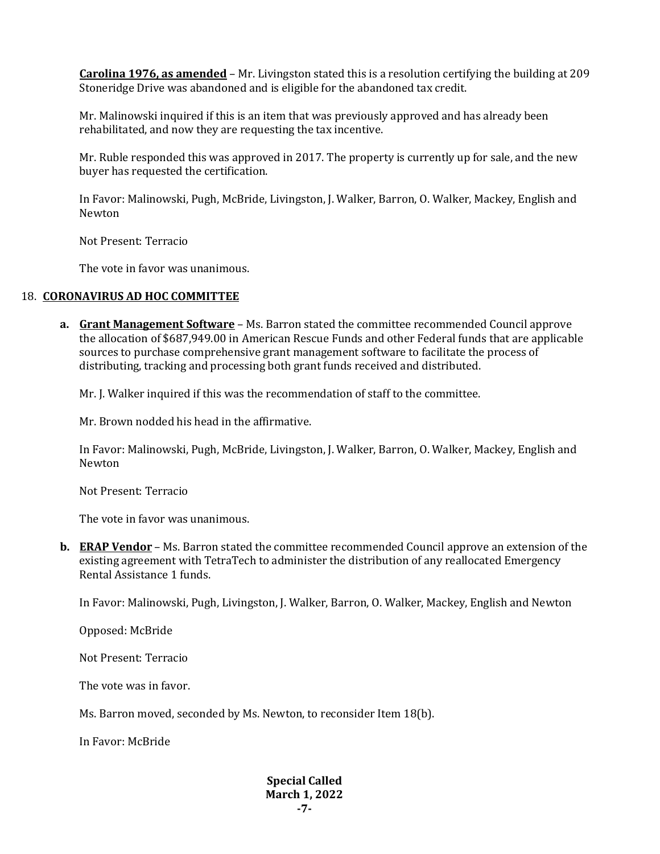**Carolina 1976, as amended** – Mr. Livingston stated this is a resolution certifying the building at 209 Stoneridge Drive was abandoned and is eligible for the abandoned tax credit.

Mr. Malinowski inquired if this is an item that was previously approved and has already been rehabilitated, and now they are requesting the tax incentive.

Mr. Ruble responded this was approved in 2017. The property is currently up for sale, and the new buyer has requested the certification.

In Favor: Malinowski, Pugh, McBride, Livingston, J. Walker, Barron, O. Walker, Mackey, English and Newton

Not Present: Terracio

The vote in favor was unanimous.

#### 18. **CORONAVIRUS AD HOC COMMITTEE**

**a. Grant Management Software** – Ms. Barron stated the committee recommended Council approve the allocation of \$687,949.00 in American Rescue Funds and other Federal funds that are applicable sources to purchase comprehensive grant management software to facilitate the process of distributing, tracking and processing both grant funds received and distributed.

Mr. J. Walker inquired if this was the recommendation of staff to the committee.

Mr. Brown nodded his head in the affirmative.

In Favor: Malinowski, Pugh, McBride, Livingston, J. Walker, Barron, O. Walker, Mackey, English and Newton

Not Present: Terracio

The vote in favor was unanimous.

**b. ERAP Vendor** – Ms. Barron stated the committee recommended Council approve an extension of the existing agreement with TetraTech to administer the distribution of any reallocated Emergency Rental Assistance 1 funds.

In Favor: Malinowski, Pugh, Livingston, J. Walker, Barron, O. Walker, Mackey, English and Newton

Opposed: McBride

Not Present: Terracio

The vote was in favor.

Ms. Barron moved, seconded by Ms. Newton, to reconsider Item 18(b).

In Favor: McBride

#### **Special Called March 1, 2022 -7-**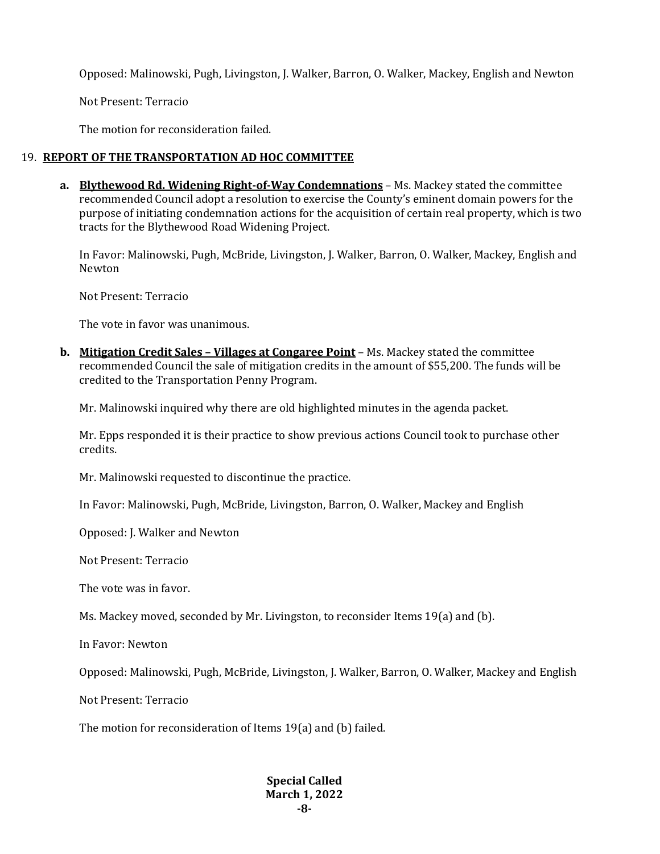Opposed: Malinowski, Pugh, Livingston, J. Walker, Barron, O. Walker, Mackey, English and Newton

Not Present: Terracio

The motion for reconsideration failed.

### 19. **REPORT OF THE TRANSPORTATION AD HOC COMMITTEE**

**a. Blythewood Rd. Widening Right-of-Way Condemnations** – Ms. Mackey stated the committee recommended Council adopt a resolution to exercise the County's eminent domain powers for the purpose of initiating condemnation actions for the acquisition of certain real property, which is two tracts for the Blythewood Road Widening Project.

In Favor: Malinowski, Pugh, McBride, Livingston, J. Walker, Barron, O. Walker, Mackey, English and Newton

Not Present: Terracio

The vote in favor was unanimous.

**b. Mitigation Credit Sales – Villages at Congaree Point** – Ms. Mackey stated the committee recommended Council the sale of mitigation credits in the amount of \$55,200. The funds will be credited to the Transportation Penny Program.

Mr. Malinowski inquired why there are old highlighted minutes in the agenda packet.

Mr. Epps responded it is their practice to show previous actions Council took to purchase other credits.

Mr. Malinowski requested to discontinue the practice.

In Favor: Malinowski, Pugh, McBride, Livingston, Barron, O. Walker, Mackey and English

Opposed: J. Walker and Newton

Not Present: Terracio

The vote was in favor.

Ms. Mackey moved, seconded by Mr. Livingston, to reconsider Items 19(a) and (b).

In Favor: Newton

Opposed: Malinowski, Pugh, McBride, Livingston, J. Walker, Barron, O. Walker, Mackey and English

Not Present: Terracio

The motion for reconsideration of Items 19(a) and (b) failed.

#### **Special Called March 1, 2022 -8-**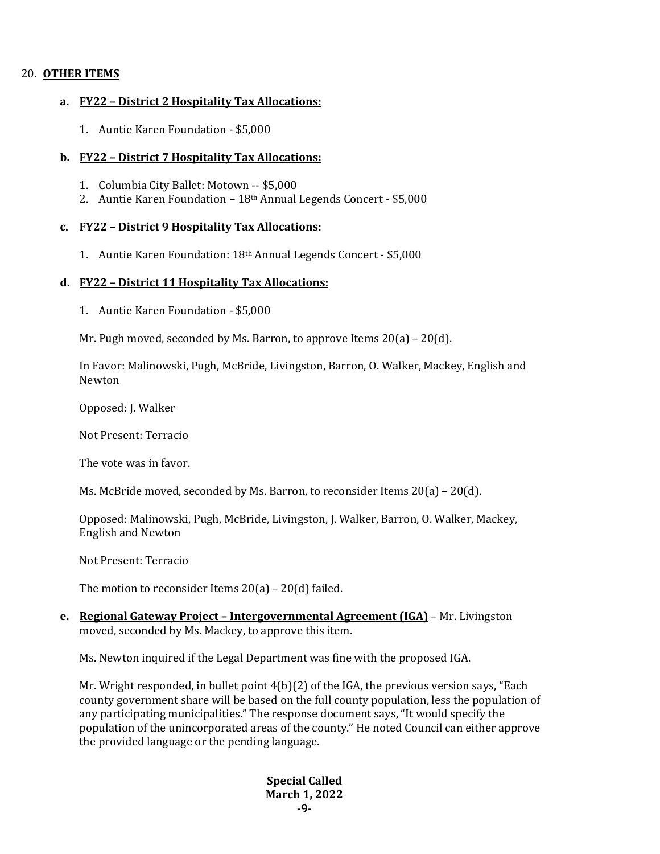## 20. **OTHER ITEMS**

#### **a. FY22 – District 2 Hospitality Tax Allocations:**

1. Auntie Karen Foundation - \$5,000

### **b. FY22 – District 7 Hospitality Tax Allocations:**

- 1. Columbia City Ballet: Motown -- \$5,000
- 2. Auntie Karen Foundation 18<sup>th</sup> Annual Legends Concert \$5,000

### **c. FY22 – District 9 Hospitality Tax Allocations:**

1. Auntie Karen Foundation: 18th Annual Legends Concert - \$5,000

### **d. FY22 – District 11 Hospitality Tax Allocations:**

1. Auntie Karen Foundation - \$5,000

Mr. Pugh moved, seconded by Ms. Barron, to approve Items 20(a) – 20(d).

In Favor: Malinowski, Pugh, McBride, Livingston, Barron, O. Walker, Mackey, English and Newton

Opposed: J. Walker

Not Present: Terracio

The vote was in favor.

Ms. McBride moved, seconded by Ms. Barron, to reconsider Items 20(a) – 20(d).

Opposed: Malinowski, Pugh, McBride, Livingston, J. Walker, Barron, O. Walker, Mackey, English and Newton

Not Present: Terracio

The motion to reconsider Items  $20(a) - 20(d)$  failed.

**e. Regional Gateway Project – Intergovernmental Agreement (IGA)** – Mr. Livingston moved, seconded by Ms. Mackey, to approve this item.

Ms. Newton inquired if the Legal Department was fine with the proposed IGA.

Mr. Wright responded, in bullet point 4(b)(2) of the IGA, the previous version says, "Each county government share will be based on the full county population, less the population of any participating municipalities." The response document says, "It would specify the population of the unincorporated areas of the county." He noted Council can either approve the provided language or the pending language.

> **Special Called March 1, 2022 -9-**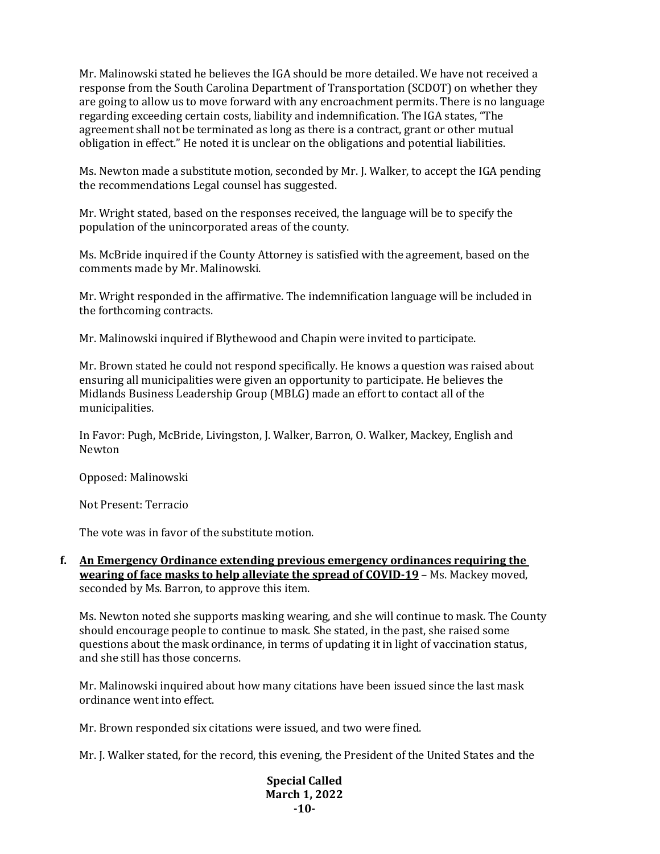Mr. Malinowski stated he believes the IGA should be more detailed. We have not received a response from the South Carolina Department of Transportation (SCDOT) on whether they are going to allow us to move forward with any encroachment permits. There is no language regarding exceeding certain costs, liability and indemnification. The IGA states, "The agreement shall not be terminated as long as there is a contract, grant or other mutual obligation in effect." He noted it is unclear on the obligations and potential liabilities.

Ms. Newton made a substitute motion, seconded by Mr. J. Walker, to accept the IGA pending the recommendations Legal counsel has suggested.

Mr. Wright stated, based on the responses received, the language will be to specify the population of the unincorporated areas of the county.

Ms. McBride inquired if the County Attorney is satisfied with the agreement, based on the comments made by Mr. Malinowski.

Mr. Wright responded in the affirmative. The indemnification language will be included in the forthcoming contracts.

Mr. Malinowski inquired if Blythewood and Chapin were invited to participate.

Mr. Brown stated he could not respond specifically. He knows a question was raised about ensuring all municipalities were given an opportunity to participate. He believes the Midlands Business Leadership Group (MBLG) made an effort to contact all of the municipalities.

In Favor: Pugh, McBride, Livingston, J. Walker, Barron, O. Walker, Mackey, English and Newton

Opposed: Malinowski

Not Present: Terracio

The vote was in favor of the substitute motion.

**f. An Emergency Ordinance extending previous emergency ordinances requiring the wearing of face masks to help alleviate the spread of COVID-19** – Ms. Mackey moved, seconded by Ms. Barron, to approve this item.

Ms. Newton noted she supports masking wearing, and she will continue to mask. The County should encourage people to continue to mask. She stated, in the past, she raised some questions about the mask ordinance, in terms of updating it in light of vaccination status, and she still has those concerns.

Mr. Malinowski inquired about how many citations have been issued since the last mask ordinance went into effect.

Mr. Brown responded six citations were issued, and two were fined.

Mr. J. Walker stated, for the record, this evening, the President of the United States and the

**Special Called March 1, 2022 -10-**